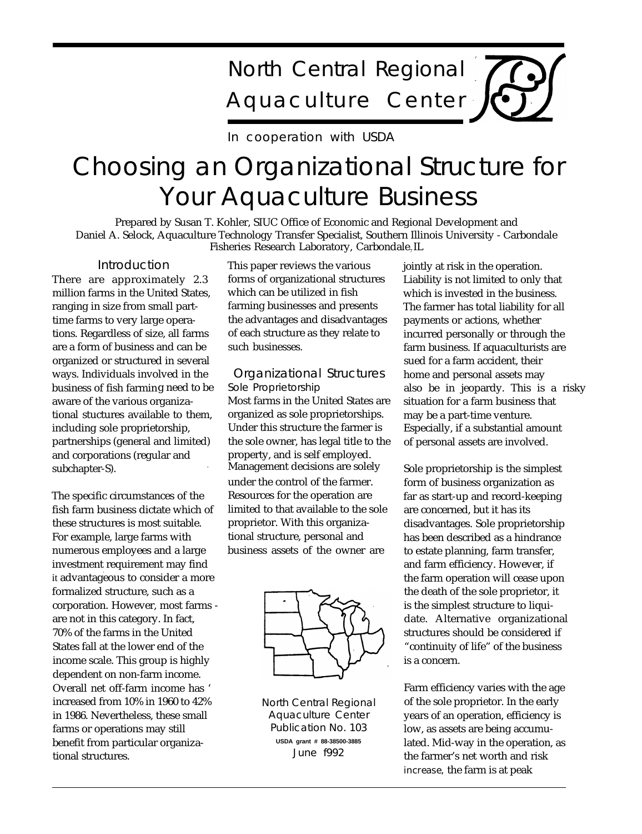# North Central Regional Aquaculture Center

In cooperation with USDA

## Choosing an Organizational Structure for Your Aquaculture Business

Prepared by Susan T. Kohler, SIUC Office of Economic and Regional Development and Daniel A. Selock, Aquaculture Technology Transfer Specialist, Southern Illinois University - Carbondale Fisheries Research Laboratory, Carbondale, IL

## **Introduction**

There are approximately 2.3 million farms in the United States, ranging in size from small parttime farms to very large operations. Regardless of size, all farms are a form of business and can be organized or structured in several ways. Individuals involved in the business of fish farming need to be aware of the various organizational stuctures available to them, including sole proprietorship, partnerships (general and limited) and corporations (regular and subchapter-S).

The specific circumstances of the fish farm business dictate which of these structures is most suitable. For example, large farms with numerous employees and a large investment requirement may find . it advantageous to consider a more formalized structure, such as a corporation. However, most farms are not in this category. In fact, 70% of the farms in the United States fall at the lower end of the income scale. This group is highly dependent on non-farm income. Overall net off-farm income has ' increased from 10% in 1960 to 42% in 1986. Nevertheless, these small farms or operations may still benefit from particular organizational structures.

This paper reviews the various forms of organizational structures which can be utilized in fish farming businesses and presents the advantages and disadvantages of each structure as they relate to such businesses.

## Organizational Structures Sole Proprietorship

Most farms in the United States are organized as sole proprietorships. Under this structure the farmer is the sole owner, has legal title to the property, and is self employed. Management decisions are solely under the control of the farmer. Resources for the operation are limited to that available to the sole proprietor. With this organizational structure, personal and business assets of the owner are



North Central Regional Aquaculture Center Publication No. 103 **USDA grant # 88-38500-3885** June f992

jointly at risk in the operation. Liability is not limited to only that which is invested in the business. The farmer has total liability for all payments or actions, whether incurred personally or through the farm business. If aquaculturists are sued for a farm accident, their home and personal assets may also be in jeopardy. This is a risky situation for a farm business that may be a part-time venture. Especially, if a substantial amount of personal assets are involved.

Sole proprietorship is the simplest form of business organization as far as start-up and record-keeping are concerned, but it has its disadvantages. Sole proprietorship has been described as a hindrance to estate planning, farm transfer, and farm efficiency. However, if the farm operation will cease upon the death of the sole proprietor, it is the simplest structure to liquidate. Alternative organizational structures should be considered if "continuity of life" of the business is a concern.

Farm efficiency varies with the age of the sole proprietor. In the early years of an operation, efficiency is low, as assets are being accumulated. Mid-way in the operation, as the farmer's net worth and risk increase, the farm is at peak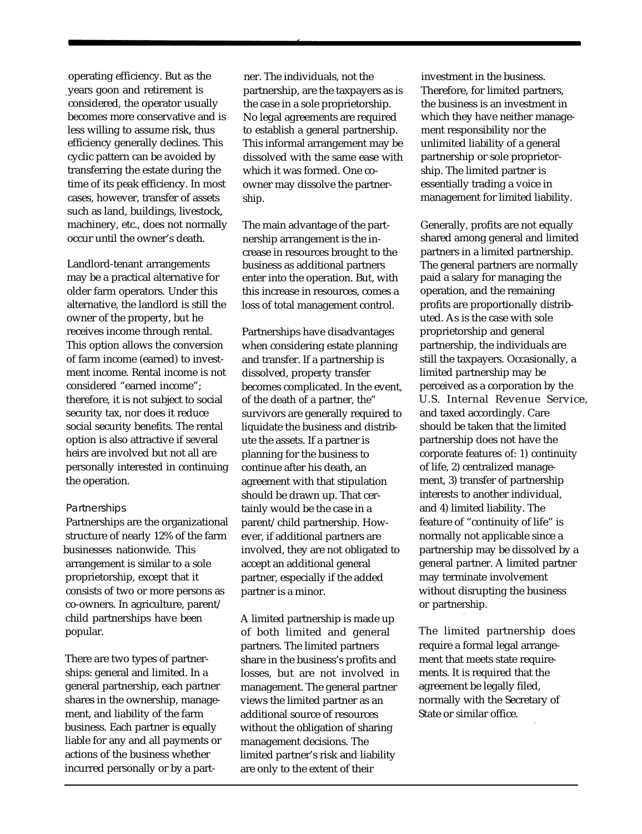operating efficiency. But as the .years goon and retirement is considered, the operator usually becomes more conservative and is less willing to assume risk, thus efficiency generally declines. This cyclic pattern can be avoided by transferring the estate during the time of its peak efficiency. In most cases, however, transfer of assets such as land, buildings, livestock, machinery, etc., does not normally occur until the owner's death.

Landlord-tenant arrangements may be a practical alternative for older farm operators. Under this alternative, the landlord is still the owner of the property, but he receives income through rental. This option allows the conversion of farm income (earned) to investment income. Rental income is not considered "earned income"; therefore, it is not subject to social security tax, nor does it reduce social security benefits. The rental option is also attractive if several heirs are involved but not all are personally interested in continuing the operation.

### **Partnerships**

Partnerships are the organizational structure of nearly 12% of the farm businesses nationwide. This arrangement is similar to a sole proprietorship, except that it consists of two or more persons as co-owners. In agriculture, parent/ child partnerships have been popular.

There are two types of partnerships: general and limited. In a general partnership, each partner shares in the ownership, management, and liability of the farm business. Each partner is equally liable for any and all payments or actions of the business whether incurred personally or by a part-

ner. The individuals, not the partnership, are the taxpayers as is the case in a sole proprietorship. No legal agreements are required to establish a general partnership. This informal arrangement may be dissolved with the same ease with which it was formed. One coowner may dissolve the partnership.

The main advantage of the partnership arrangement is the increase in resources brought to the business as additional partners enter into the operation. But, with this increase in resources, comes a loss of total management control.

Partnerships have disadvantages when considering estate planning and transfer. If a partnership is dissolved, property transfer becomes complicated. In the event, of the death of a partner, the" survivors are generally required to liquidate the business and distribute the assets. If a partner is planning for the business to continue after his death, an agreement with that stipulation should be drawn up. That certainly would be the case in a parent/child partnership. However, if additional partners are involved, they are not obligated to accept an additional general partner, especially if the added partner is a minor.

A limited partnership is made up of both limited and general partners. The limited partners share in the business's profits and losses, but are not involved in management. The general partner views the limited partner as an additional source of resources without the obligation of sharing management decisions. The limited partner's risk and liability are only to the extent of their

investment in the business. Therefore, for limited partners, the business is an investment in which they have neither management responsibility nor the unlimited liability of a general partnership or sole proprietorship. The limited partner is essentially trading a voice in management for limited liability.

Generally, profits are not equally shared among general and limited partners in a limited partnership. The general partners are normally paid a salary for managing the operation, and the remaining profits are proportionally distributed. As is the case with sole proprietorship and general partnership, the individuals are still the taxpayers. Occasionally, a limited partnership may be perceived as a corporation by the U.S. Internal Revenue Service, and taxed accordingly. Care should be taken that the limited partnership does not have the corporate features of: 1) continuity of life, 2) centralized management, 3) transfer of partnership interests to another individual, and 4) limited liability. The feature of "continuity of life" is normally not applicable since a partnership may be dissolved by a general partner. A limited partner may terminate involvement without disrupting the business or partnership.

The limited partnership does require a formal legal arrangement that meets state requirements. It is required that the agreement be legally filed, normally with the Secretary of State or similar office.

.

.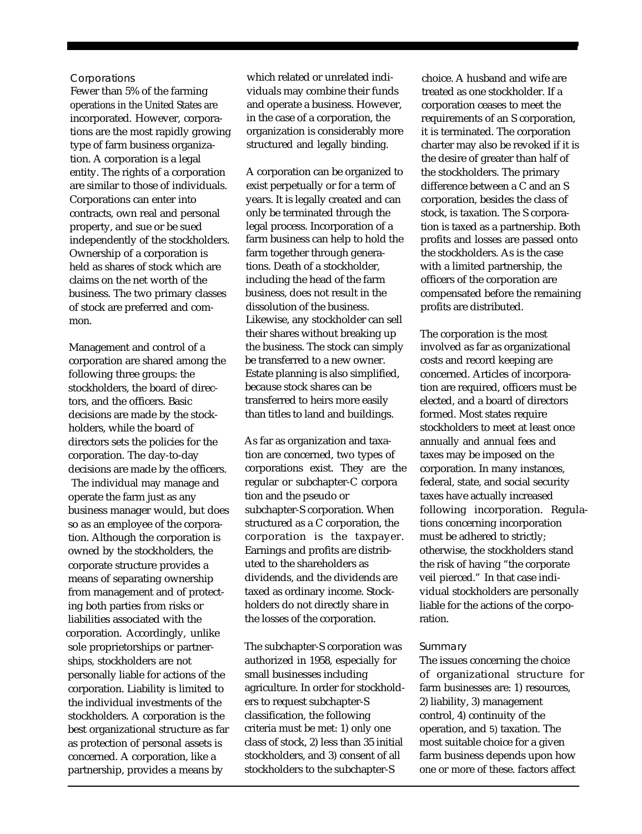#### **Corporations**

Fewer than 5% of the farming operations in the United States are incorporated. However, corporations are the most rapidly growing type of farm business organization. A corporation is a legal entity. The rights of a corporation are similar to those of individuals. Corporations can enter into contracts, own real and personal property, and sue or be sued independently of the stockholders. Ownership of a corporation is held as shares of stock which are claims on the net worth of the business. The two primary classes of stock are preferred and common.

Management and control of a corporation are shared among the following three groups: the stockholders, the board of directors, and the officers. Basic decisions are made by the stockholders, while the board of directors sets the policies for the corporation. The day-to-day decisions are made by the officers. The individual may manage and operate the farm just as any business manager would, but does so as an employee of the corporation. Although the corporation is owned by the stockholders, the corporate structure provides a means of separating ownership from management and of protecting both parties from risks or liabilities associated with the corporation. Accordingly, unlike sole proprietorships or partnerships, stockholders are not personally liable for actions of the corporation. Liability is limited to the individual investments of the stockholders. A corporation is the best organizational structure as far as protection of personal assets is concerned. A corporation, like a partnership, provides a means by

which related or unrelated individuals may combine their funds and operate a business. However, in the case of a corporation, the organization is considerably more structured and legally binding.

A corporation can be organized to exist perpetually or for a term of years. It is legally created and can only be terminated through the legal process. Incorporation of a farm business can help to hold the farm together through generations. Death of a stockholder, including the head of the farm business, does not result in the dissolution of the business. Likewise, any stockholder can sell their shares without breaking up the business. The stock can simply be transferred to a new owner. Estate planning is also simplified, because stock shares can be transferred to heirs more easily than titles to land and buildings.

As far as organization and taxation are concerned, two types of corporations exist. They are the regular or subchapter-C corpora tion and the pseudo or subchapter-S corporation. When structured as a C corporation, the corporation is the taxpayer. Earnings and profits are distributed to the shareholders as dividends, and the dividends are taxed as ordinary income. Stockholders do not directly share in the losses of the corporation.

The subchapter-S corporation was authorized in 1958, especially for small businesses including agriculture. In order for stockholders to request subchapter-S classification, the following criteria must be met: 1) only one class of stock, 2) less than 35 initial stockholders, and 3) consent of all stockholders to the subchapter-S

choice. A husband and wife are treated as one stockholder. If a corporation ceases to meet the requirements of an S corporation, it is terminated. The corporation charter may also be revoked if it is the desire of greater than half of the stockholders. The primary difference between a C and an S corporation, besides the class of stock, is taxation. The S corporation is taxed as a partnership. Both profits and losses are passed onto the stockholders. As is the case with a limited partnership, the officers of the corporation are compensated before the remaining profits are distributed.

The corporation is the most involved as far as organizational costs and record keeping are concerned. Articles of incorporation are required, officers must be elected, and a board of directors formed. Most states require stockholders to meet at least once annually and annual fees and taxes may be imposed on the corporation. In many instances, federal, state, and social security taxes have actually increased following incorporation. Regulations concerning incorporation must be adhered to strictly; otherwise, the stockholders stand the risk of having "the corporate veil pierced." In that case individual stockholders are personally liable for the actions of the corporation.

#### **Summary**

The issues concerning the choice of organizational structure for farm businesses are: 1) resources, 2) liability, 3) management control, 4) continuity of the operation, and 5) taxation. The most suitable choice for a given farm business depends upon how one or more of these. factors affect